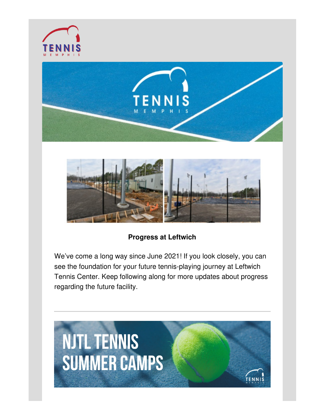





#### **Progress at Leftwich**

We've come a long way since June 2021! If you look closely, you can see the foundation for your future tennis-playing journey at Leftwich Tennis Center. Keep following along for more updates about progress regarding the future facility.

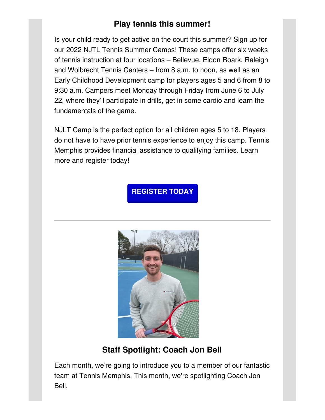## **Play tennis this summer!**

Is your child ready to get active on the court this summer? Sign up for our 2022 NJTL Tennis Summer Camps! These camps offer six weeks of tennis instruction at four locations – Bellevue, Eldon Roark, Raleigh and Wolbrecht Tennis Centers – from 8 a.m. to noon, as well as an Early Childhood Development camp for players ages 5 and 6 from 8 to 9:30 a.m. Campers meet Monday through Friday from June 6 to July 22, where they'll participate in drills, get in some cardio and learn the fundamentals of the game.

NJLT Camp is the perfect option for all children ages 5 to 18. Players do not have to have prior tennis experience to enjoy this camp. Tennis Memphis provides financial assistance to qualifying families. Learn more and register today!

**[REGISTER](http://tennismemphis.org/summer-camps/) TODAY**



# **Staff Spotlight: Coach Jon Bell**

Each month, we're going to introduce you to a member of our fantastic team at Tennis Memphis. This month, we're spotlighting Coach Jon Bell.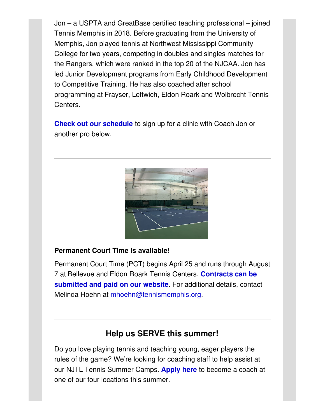Jon – a USPTA and GreatBase certified teaching professional – joined Tennis Memphis in 2018. Before graduating from the University of Memphis, Jon played tennis at Northwest Mississippi Community College for two years, competing in doubles and singles matches for the Rangers, which were ranked in the top 20 of the NJCAA. Jon has led Junior Development programs from Early Childhood Development to Competitive Training. He has also coached after school programming at Frayser, Leftwich, Eldon Roark and Wolbrecht Tennis Centers.

**Check out our [schedule](http://tennismemphis.org/wp-content/uploads/2022/01/Tennis_Adult-Clinic-Schedule.pdf)** to sign up for a clinic with Coach Jon or another pro below.



#### **Permanent Court Time is available!**

Permanent Court Time (PCT) begins April 25 and runs through August 7 at Bellevue and Eldon Roark Tennis Centers. **[Contracts](http://tennismemphis.org/permanent-court-time/) can be submitted and paid on our website**. For additional details, contact Melinda Hoehn at [mhoehn@tennismemphis.org](mailto:mhoehn@tennismemphis.org).

### **Help us SERVE this summer!**

Do you love playing tennis and teaching young, eager players the rules of the game? We're looking for coaching staff to help assist at our NJTL Tennis Summer Camps. **[Apply](https://form.jotform.com/50907197012149) here** to become a coach at one of our four locations this summer.